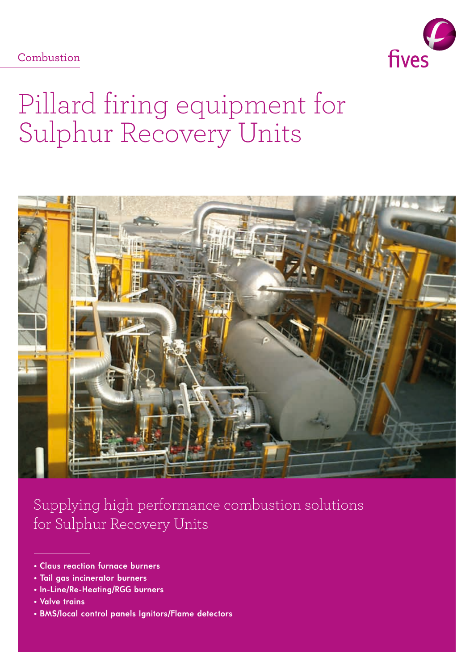Combustion



# Pillard firing equipment for Sulphur Recovery Units



Supplying high performance combustion solutions for Sulphur Recovery Units

- **Tail gas incinerator burners**
- **In-Line/Re-Heating/RGG burners**
- **Valve trains**
- **BMS/local control panels Ignitors/Flame detectors**

**<sup>•</sup> Claus reaction furnace burners**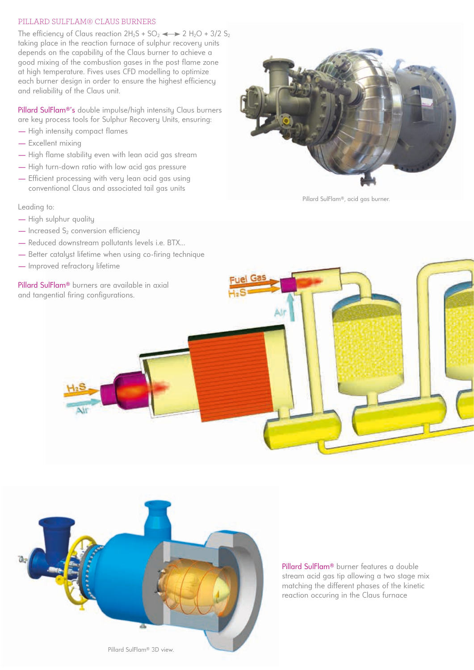## PILLARD SULFLAM® CLAUS BURNERS

The efficiency of Claus reaction  $2H_2S + SO_2 \longrightarrow 2 H_2O + 3/2 S_2$ taking place in the reaction furnace of sulphur recovery units depends on the capability of the Claus burner to achieve a good mixing of the combustion gases in the post flame zone at high temperature. Fives uses CFD modelling to optimize each burner design in order to ensure the highest efficiency and reliability of the Claus unit.

Pillard SulFlam®'s double impulse/high intensity Claus burners are key process tools for Sulphur Recovery Units, ensuring:

- High intensity compact flames
- Excellent mixing
- High flame stability even with lean acid gas stream
- High turn-down ratio with low acid gas pressure
- Efficient processing with very lean acid gas using conventional Claus and associated tail gas units

Leading to:

- High sulphur quality
- $-$  Increased S<sub>2</sub> conversion efficiency
- Reduced downstream pollutants levels i.e. BTX...
- Better catalyst lifetime when using co-firing technique
- Improved refractory lifetime

Pillard SulFlam® burners are available in axial and tangential firing configurations.



Pillard SulFlam®, acid gas burner.





Pillard SulFlam® burner features a double stream acid gas tip allowing a two stage mix matching the different phases of the kinetic reaction occuring in the Claus furnace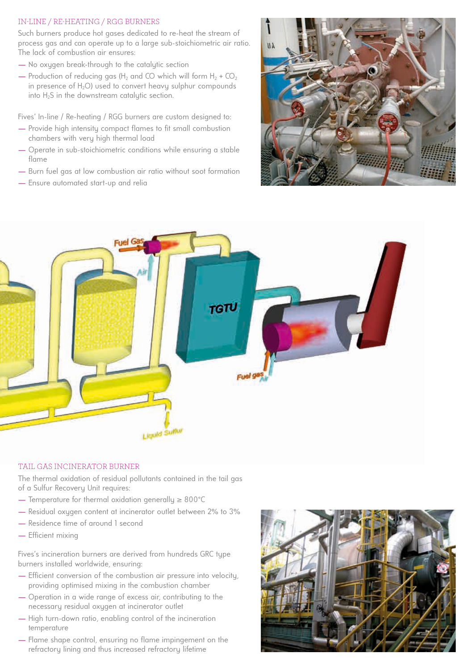# IN-LINE / RE-HEATING / RGG BURNERS

Such burners produce hot gases dedicated to re-heat the stream of process gas and can operate up to a large sub-stoichiometric air ratio. The lack of combustion air ensures:

- No oxygen break-through to the catalytic section
- Production of reducing gas (H<sub>2</sub> and CO which will form H<sub>2</sub> + CO<sub>2</sub> in presence of  $H_2O$ ) used to convert heavy sulphur compounds into H<sub>2</sub>S in the downstream catalytic section.

Fives' In-line / Re-heating / RGG burners are custom designed to:

- Provide high intensity compact flames to fit small combustion chambers with very high thermal load
- Operate in sub-stoichiometric conditions while ensuring a stable flame
- Burn fuel gas at low combustion air ratio without soot formation
- Ensure automated start-up and relia





#### TAIL GAS INCINERATOR BURNER

The thermal oxidation of residual pollutants contained in the tail gas of a Sulfur Recovery Unit requires:

- Temperature for thermal oxidation generally ≥ 800°C
- Residual oxygen content at incinerator outlet between 2% to 3%
- Residence time of around 1 second
- Efficient mixing

Fives's incineration burners are derived from hundreds GRC type burners installed worldwide, ensuring:

- Efficient conversion of the combustion air pressure into velocity, providing optimised mixing in the combustion chamber
- Operation in a wide range of excess air, contributing to the necessary residual oxygen at incinerator outlet
- High turn-down ratio, enabling control of the incineration temperature
- Flame shape control, ensuring no flame impingement on the refractory lining and thus increased refractory lifetime